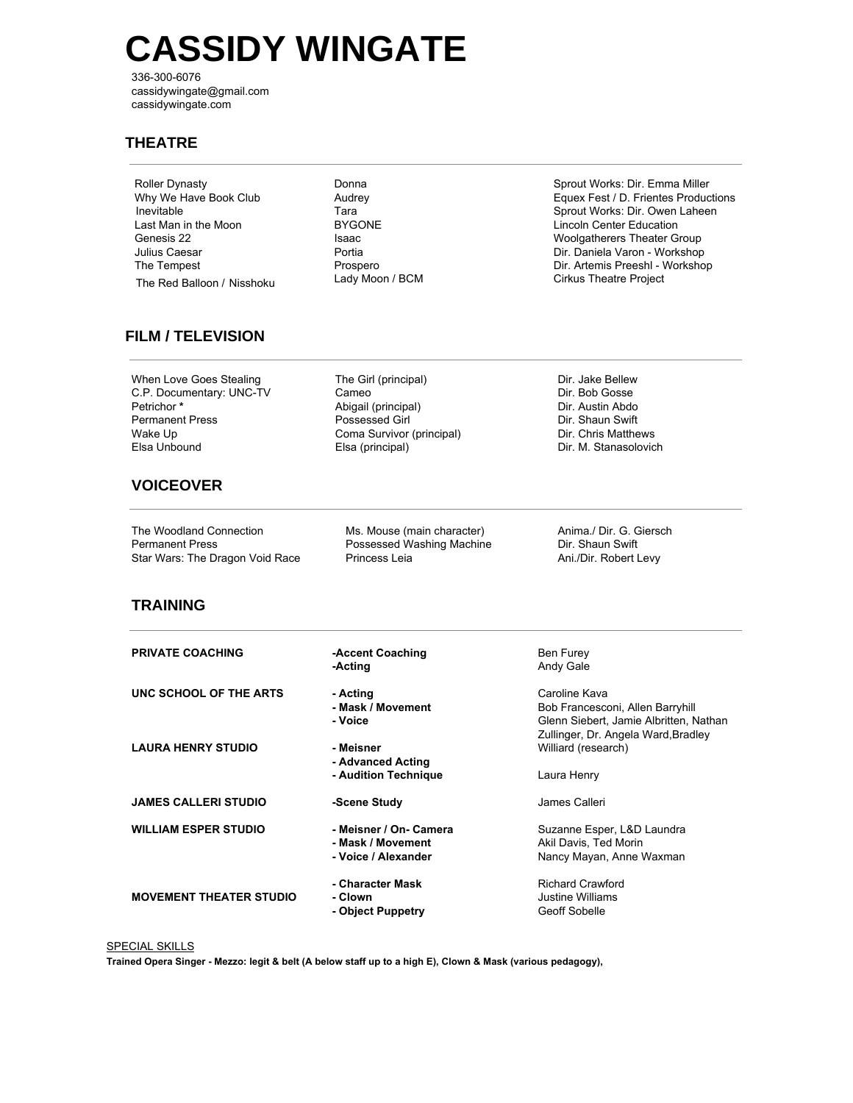# **CASSIDY WINGATE**

336-300-6076 cassidywingate@gmail.com cassidywingate.com

#### **THEATRE**

| Roller Dynasty             |  |  |
|----------------------------|--|--|
| Why We Have Book Club      |  |  |
| Inevitable                 |  |  |
| Last Man in the Moon       |  |  |
| Genesis 22                 |  |  |
| Julius Caesar              |  |  |
| The Tempest                |  |  |
| The Red Balloon / Nisshoku |  |  |

Donna Audrey Tara BYGONE Isaac Portia Prospero Lady Moon / BCM

Sprout Works: Dir. Emma Miller Equex Fest / D. Frientes Productions Sprout Works: Dir. Owen Laheen Lincoln Center Education Woolgatherers Theater Group Dir. Daniela Varon - Workshop Dir. Artemis Preeshl - Workshop Cirkus Theatre Project

### **FILM / TELEVISION**

When Love Goes Stealing C.P. Documentary: UNC-TV Petrichor **\*** Permanent Press Wake Up Elsa Unbound

- The Girl (principal) Cameo Abigail (principal) Possessed Girl Coma Survivor (principal) Elsa (principal)
- Dir. Jake Bellew Dir. Bob Gosse Dir. Austin Abdo Dir. Shaun Swift Dir. Chris Matthews Dir. M. Stanasolovich

## **VOICEOVER**

The Woodland Connection Permanent Press Star Wars: The Dragon Void Race Ms. Mouse (main character) Possessed Washing Machine Princess Leia

Anima./ Dir. G. Giersch Dir. Shaun Swift Ani./Dir. Robert Levy

#### **TRAINING**

| <b>PRIVATE COACHING</b>        | -Accent Coaching<br>-Acting                                        | Ben Furey<br>Andy Gale                                                                                                             |
|--------------------------------|--------------------------------------------------------------------|------------------------------------------------------------------------------------------------------------------------------------|
| UNC SCHOOL OF THE ARTS         | - Acting<br>- Mask / Movement<br>- Voice                           | Caroline Kava<br>Bob Francesconi, Allen Barryhill<br>Glenn Siebert, Jamie Albritten, Nathan<br>Zullinger, Dr. Angela Ward, Bradley |
| <b>LAURA HENRY STUDIO</b>      | - Meisner<br>- Advanced Acting<br>- Audition Technique             | Williard (research)<br>Laura Henry                                                                                                 |
| <b>JAMES CALLERI STUDIO</b>    | -Scene Study                                                       | James Calleri                                                                                                                      |
| <b>WILLIAM ESPER STUDIO</b>    | - Meisner / On- Camera<br>- Mask / Movement<br>- Voice / Alexander | Suzanne Esper, L&D Laundra<br>Akil Davis, Ted Morin<br>Nancy Mayan, Anne Waxman                                                    |
| <b>MOVEMENT THEATER STUDIO</b> | - Character Mask<br>- Clown<br>- Object Puppetry                   | <b>Richard Crawford</b><br>Justine Williams<br>Geoff Sobelle                                                                       |

**SPECIAL SKILLS** 

Trained Opera Singer - Mezzo: legit & belt (A below staff up to a high E), Clown & Mask (various pedagogy),